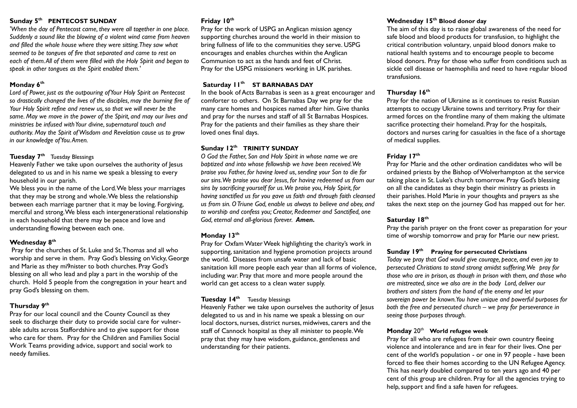#### **Sunday 5th PENTECOST SUNDAY**

*'When the day of Pentecost came, they were all together in one place. Suddenly a sound like the blowing of a violent wind came from heaven and filled the whole house where they were sitting. They saw what seemed to be tongues of fire that separated and came to rest on each of them. All of them were filled with the Holy Spirit and began to speak in other tongues as the Spirit enabled them.'*

# **Monday 6 th**

*Lord of Power, just as the outpouring of Your Holy Spirit on Pentecost so drastically changed the lives of the disciples, may the burning fire of Your Holy Spirit refine and renew us, so that we will never be the same. May we move in the power of the Spirit, and may our lives and ministries be infused with Your divine, supernatural touch and authority. May the Spirit of Wisdom and Revelation cause us to grow in our knowledge of You. Amen.*

#### **Tuesday 7 th** Tuesday Blessings

Heavenly Father we take upon ourselves the authority of lesus delegated to us and in his name we speak a blessing to every household in our parish.

We bless you in the name of the Lord. We bless your marriages that they may be strong and whole. We bless the relationship between each marriage partner that it may be loving. Forgiving, merciful and strong. We bless each intergenerational relationship in each household that there may be peace and love and understanding flowing between each one.

# **Wednesday 8 th**

Pray for the churches of St. Luke and St. Thomas and all who worship and serve in them. Pray God's blessing on Vicky, George and Marie as they mi9nister to both churches. Pray God's blessing on all who lead and play a part in the worship of the church. Hold 5 people from the congregation in your heart and pray God's blessing on them.

# **Thursday 9 th**

Pray for our local council and the County Council as they seek to discharge their duty to provide social care for vulnerable adults across Staffordshire and to give support for those who care for them. Pray for the Children and Families Social Work Teams providing advice, support and social work to needy families.

# **Friday 10th**

Pray for the work of USPG an Anglican mission agency supporting churches around the world in their mission to bring fullness of life to the communities they serve. USPG encourages and enables churches within the Anglican Communion to act as the hands and feet of Christ. Pray for the USPG missioners working in UK parishes.

# **Saturday 11th ST BARNABAS DAY**

In the book of Acts Barnabas is seen as a great encourager and comforter to others. On St Barnabas Day we pray for the many care homes and hospices named after him. Give thanks and pray for the nurses and staff of all St Barnabas Hospices. Pray for the patients and their families as they share their loved ones final days.

# **Sunday 12th TRINITY SUNDAY**

*O God the Father, Son and Holy Spirit in whose name we are baptized and into whose fellowship we have been received. We praise you Father, for having loved us, sending your Son to die for our sins. We praise you dear Jesus, for having redeemed us from our sins by sacrificing yourself for us. We praise you, Holy Spirit, for having sanctified us for you gave us faith and through faith cleansed us from sin. O Triune God, enable us always to believe and obey, and to worship and confess you; Creator, Redeemer and Sanctified, one God, eternal and all-glorious forever. Amen.*

# **Monday 13th**

Pray for Oxfam Water Week highlighting the charity's work in supporting, sanitation and hygiene promotion projects around the world. Diseases from unsafe water and lack of basic sanitation kill more people each year than all forms of violence, including war. Pray that more and more people around the world can get access to a clean water supply.

# **Tuesday 14th** Tuesday blessings

Heavenly Father we take upon ourselves the authority of Jesus delegated to us and in his name we speak a blessing on our local doctors, nurses, district nurses, midwives, carers and the staff of Cannock hospital as they all minister to people. We pray that they may have wisdom, guidance, gentleness and understanding for their patients.

#### **Wednesday 15 th Blood donor day**

The aim of this day is to raise global awareness of the need for safe blood and blood products for transfusion, to highlight the critical contribution voluntary, unpaid blood donors make to national health systems and to encourage people to become blood donors. Pray for those who suffer from conditions such as sickle cell disease or haemophilia and need to have regular blood transfusions.

# **Thursday 16 th**

Pray for the nation of Ukraine as it continues to resist Russian attempts to occupy Ukraine towns and territory. Pray for their armed forces on the frontline many of them making the ultimate sacrifice protecting their homeland. Pray for the hospitals, doctors and nurses caring for casualties in the face of a shortage of medical supplies.

# **Friday 17 th**

Pray for Marie and the other ordination candidates who will be ordained priests by the Bishop of Wolverhampton at the service taking place in St. Luke's church tomorrow. Pray God's blessing on all the candidates as they begin their ministry as priests in their parishes. Hold Marie in your thoughts and prayers as she takes the next step on the journey God has mapped out for her.

# **Saturday 18 th**

Pray the parish prayer on the front cover as preparation for your time of worship tomorrow and pray for Marie our new priest.

#### **Sunday 19 th Praying for persecuted Christians**

*Today we pray that God would give courage, peace, and even joy to persecuted Christians to stand strong amidst suffering. We pray for those who are in prison, as though in prison with them, and those who are mistreated, since we also are in the body Lord, deliver our brothers and sisters from the hand of the enemy and let your sovereign power be known. You have unique and powerful purposes for both the free and persecuted church – we pray for perseverance in seeing those purposes through.*

#### **Monday** 20th **World refugee week**

Pray for all who are refugees from their own country fleeing violence and intolerance and are in fear for their lives. One per cent of the world's population - or one in 97 people - have been forced to flee their homes according to the UN Refugee Agency. This has nearly doubled compared to ten years ago and 40 per cent of this group are children. Pray for all the agencies trying to help, support and find a safe haven for refugees.